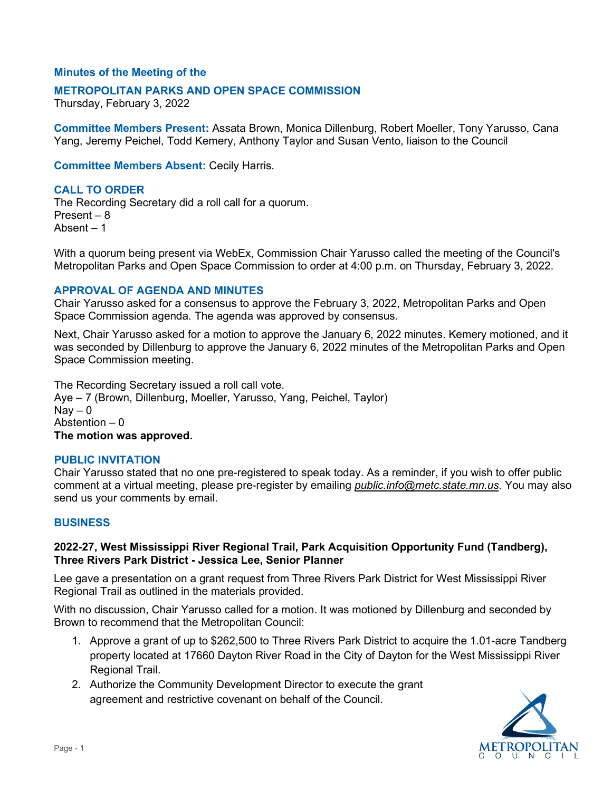## **Minutes of the Meeting of the**

### **METROPOLITAN PARKS AND OPEN SPACE COMMISSION**

Thursday, February 3, 2022

 Yang, Jeremy Peichel, Todd Kemery, Anthony Taylor and Susan Vento, liaison to the Council **Committee Members Present:** Assata Brown, Monica Dillenburg, Robert Moeller, Tony Yarusso, Cana

**Committee Members Absent:** Cecily Harris.

# **CALL TO ORDER**

 Present – 8 Absent – 1 The Recording Secretary did a roll call for a quorum.

With a quorum being present via WebEx, Commission Chair Yarusso called the meeting of the Council's Metropolitan Parks and Open Space Commission to order at 4:00 p.m. on Thursday, February 3, 2022.

### **APPROVAL OF AGENDA AND MINUTES**

 Chair Yarusso asked for a consensus to approve the February 3, 2022, Metropolitan Parks and Open Space Commission agenda. The agenda was approved by consensus.

Space Commission agenda. The agenda was approved by consensus.<br>Next, Chair Yarusso asked for a motion to approve the January 6, 2022 minutes. Kemery motioned, and it was seconded by Dillenburg to approve the January 6, 2022 minutes of the Metropolitan Parks and Open Space Commission meeting.

 Nay – 0 Abstention – 0  **The motion was approved.**  The Recording Secretary issued a roll call vote. Aye – 7 (Brown, Dillenburg, Moeller, Yarusso, Yang, Peichel, Taylor)

#### **PUBLIC INVITATION**

 Chair Yarusso stated that no one pre-registered to speak today. As a reminder, if you wish to offer public comment at a virtual meeting, please pre-register by emailing *[public.info@metc.state.mn.us](mailto:public.info@metc.state.mn.us)*. You may also send us your comments by email.

#### **BUSINESS**

### **2022-27, West Mississippi River Regional Trail, Park Acquisition Opportunity Fund (Tandberg), Three Rivers Park District - Jessica Lee, Senior Planner**

 Lee gave a presentation on a grant request from Three Rivers Park District for West Mississippi River Regional Trail as outlined in the materials provided.

 With no discussion, Chair Yarusso called for a motion. It was motioned by Dillenburg and seconded by Brown to recommend that the Metropolitan Council:

- 1. Approve a grant of up to \$262,500 to Three Rivers Park District to acquire the 1.01-acre Tandberg property located at 17660 Dayton River Road in the City of Dayton for the West Mississippi River Regional Trail.
- 2. Authorize the Community Development Director to execute the grant agreement and restrictive covenant on behalf of the Council.

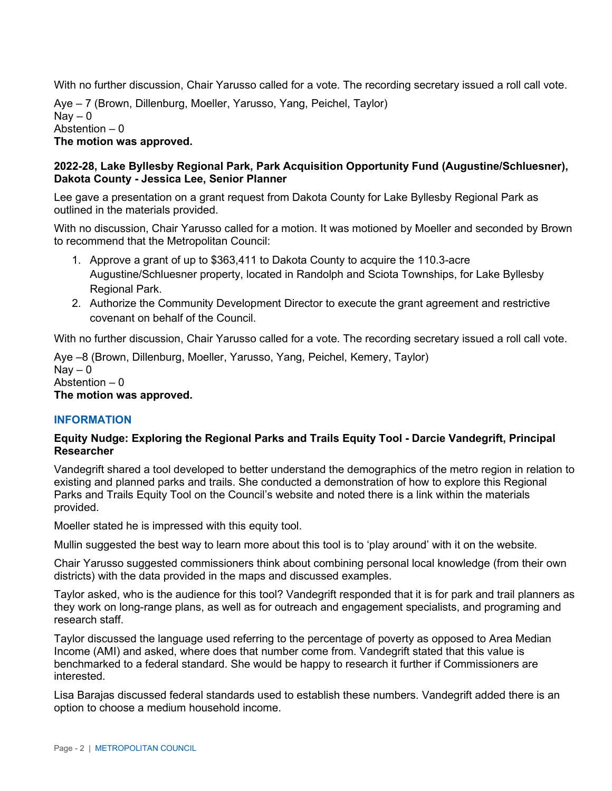With no further discussion, Chair Yarusso called for a vote. The recording secretary issued a roll call vote.

 Aye – 7 (Brown, Dillenburg, Moeller, Yarusso, Yang, Peichel, Taylor) Nay – 0 Abstention – 0 **The motion was approved.** 

## **2022-28, Lake Byllesby Regional Park, Park Acquisition Opportunity Fund (Augustine/Schluesner), Dakota County - Jessica Lee, Senior Planner**

 Lee gave a presentation on a grant request from Dakota County for Lake Byllesby Regional Park as outlined in the materials provided.

 With no discussion, Chair Yarusso called for a motion. It was motioned by Moeller and seconded by Brown to recommend that the Metropolitan Council:

- 1. Approve a grant of up to \$363,411 to Dakota County to acquire the 110.3-acre Augustine/Schluesner property, located in Randolph and Sciota Townships, for Lake Byllesby Regional Park.
- 2. Authorize the Community Development Director to execute the grant agreement and restrictive covenant on behalf of the Council.

With no further discussion, Chair Yarusso called for a vote. The recording secretary issued a roll call vote.

 Nay – 0 Abstention – 0 Aye –8 (Brown, Dillenburg, Moeller, Yarusso, Yang, Peichel, Kemery, Taylor)

# **The motion was approved.**

## **INFORMATION**

## **Equity Nudge: Exploring the Regional Parks and Trails Equity Tool - Darcie Vandegrift, Principal Researcher**

Vandegrift shared a tool developed to better understand the demographics of the metro region in relation to existing and planned parks and trails. She conducted a demonstration of how to explore this Regional Parks and Trails Equity Tool on the Council's website and noted there is a link within the materials provided.

Moeller stated he is impressed with this equity tool.

Mullin suggested the best way to learn more about this tool is to 'play around' with it on the website.

 districts) with the data provided in the maps and discussed examples. Chair Yarusso suggested commissioners think about combining personal local knowledge (from their own

 Taylor asked, who is the audience for this tool? Vandegrift responded that it is for park and trail planners as research staff. they work on long-range plans, as well as for outreach and engagement specialists, and programing and

 Income (AMI) and asked, where does that number come from. Vandegrift stated that this value is benchmarked to a federal standard. She would be happy to research it further if Commissioners are Taylor discussed the language used referring to the percentage of poverty as opposed to Area Median interested.

Lisa Barajas discussed federal standards used to establish these numbers. Vandegrift added there is an option to choose a medium household income.